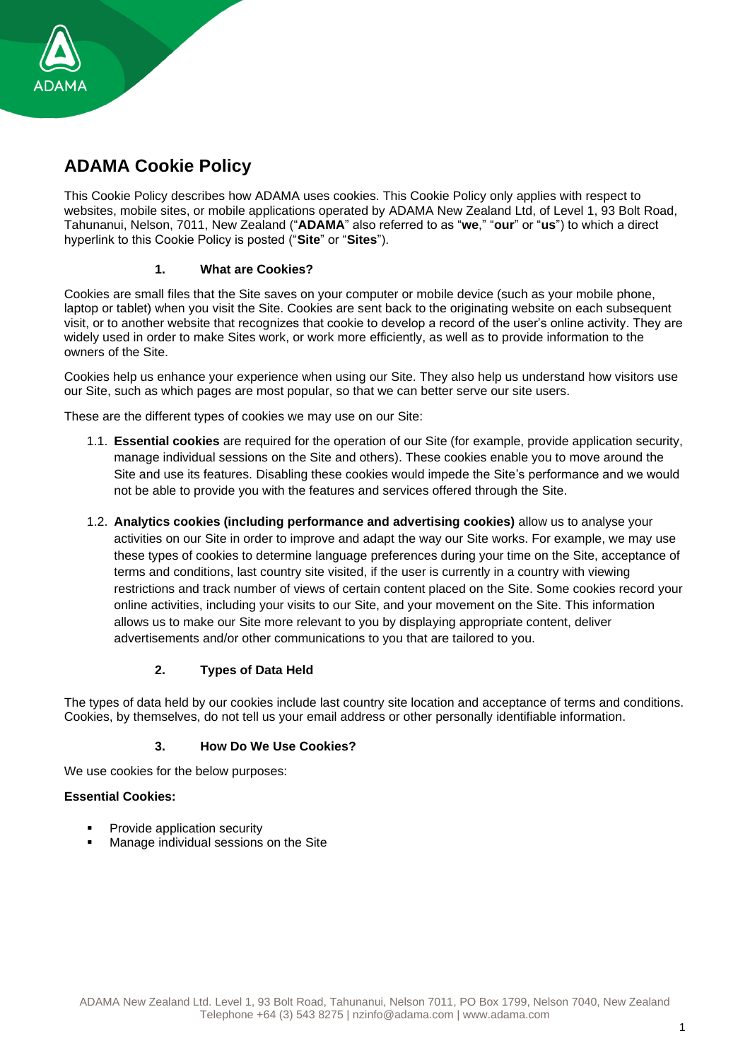

# **ADAMA Cookie Policy**

This Cookie Policy describes how ADAMA uses cookies. This Cookie Policy only applies with respect to websites, mobile sites, or mobile applications operated by ADAMA New Zealand Ltd, of Level 1, 93 Bolt Road, Tahunanui, Nelson, 7011, New Zealand ("**ADAMA**" also referred to as "**we**," "**our**" or "**us**") to which a direct hyperlink to this Cookie Policy is posted ("**Site**" or "**Sites**").

# **1. What are Cookies?**

Cookies are small files that the Site saves on your computer or mobile device (such as your mobile phone, laptop or tablet) when you visit the Site. Cookies are sent back to the originating website on each subsequent visit, or to another website that recognizes that cookie to develop a record of the user's online activity. They are widely used in order to make Sites work, or work more efficiently, as well as to provide information to the owners of the Site.

Cookies help us enhance your experience when using our Site. They also help us understand how visitors use our Site, such as which pages are most popular, so that we can better serve our site users.

These are the different types of cookies we may use on our Site:

- 1.1. **Essential cookies** are required for the operation of our Site (for example, provide application security, manage individual sessions on the Site and others). These cookies enable you to move around the Site and use its features. Disabling these cookies would impede the Site's performance and we would not be able to provide you with the features and services offered through the Site.
- 1.2. **Analytics cookies (including performance and advertising cookies)** allow us to analyse your activities on our Site in order to improve and adapt the way our Site works. For example, we may use these types of cookies to determine language preferences during your time on the Site, acceptance of terms and conditions, last country site visited, if the user is currently in a country with viewing restrictions and track number of views of certain content placed on the Site. Some cookies record your online activities, including your visits to our Site, and your movement on the Site. This information allows us to make our Site more relevant to you by displaying appropriate content, deliver advertisements and/or other communications to you that are tailored to you.

## **2. Types of Data Held**

The types of data held by our cookies include last country site location and acceptance of terms and conditions. Cookies, by themselves, do not tell us your email address or other personally identifiable information.

## **3. How Do We Use Cookies?**

We use cookies for the below purposes:

## **Essential Cookies:**

- Provide application security
- Manage individual sessions on the Site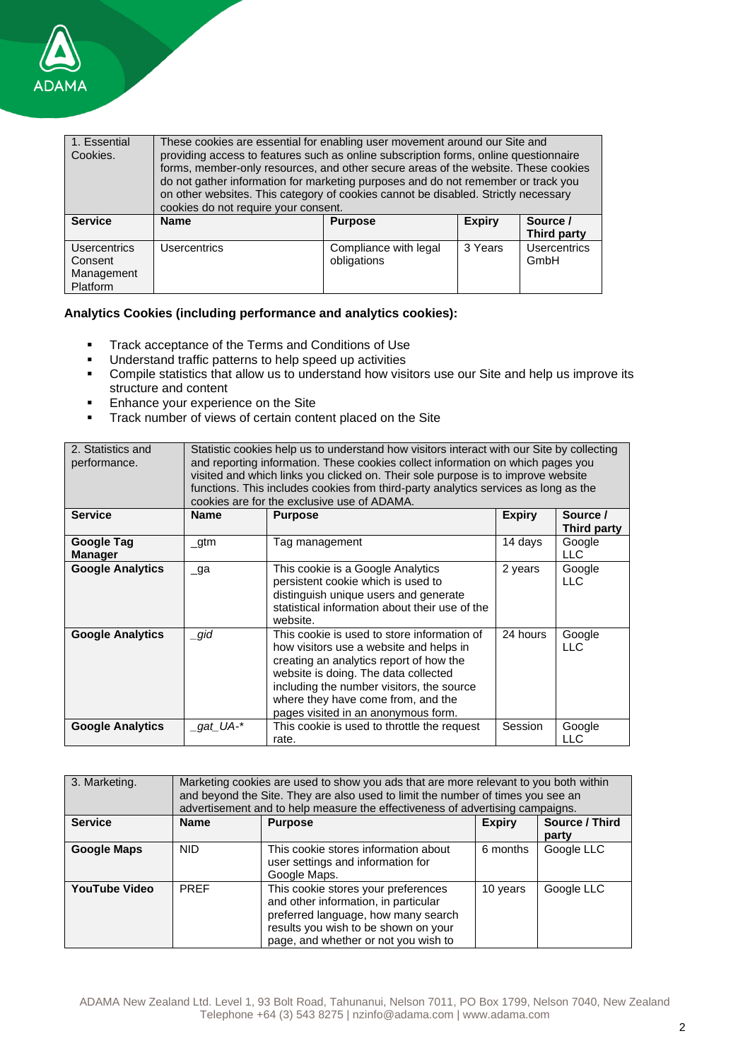

| 1. Essential<br>Cookies.                                        | These cookies are essential for enabling user movement around our Site and<br>providing access to features such as online subscription forms, online questionnaire<br>forms, member-only resources, and other secure areas of the website. These cookies<br>do not gather information for marketing purposes and do not remember or track you<br>on other websites. This category of cookies cannot be disabled. Strictly necessary<br>cookies do not require your consent. |                                      |               |                             |
|-----------------------------------------------------------------|-----------------------------------------------------------------------------------------------------------------------------------------------------------------------------------------------------------------------------------------------------------------------------------------------------------------------------------------------------------------------------------------------------------------------------------------------------------------------------|--------------------------------------|---------------|-----------------------------|
| <b>Service</b>                                                  | <b>Name</b>                                                                                                                                                                                                                                                                                                                                                                                                                                                                 | <b>Purpose</b>                       | <b>Expiry</b> | Source /<br>Third party     |
| <b>Usercentrics</b><br>Consent<br>Management<br><b>Platform</b> | <b>Usercentrics</b>                                                                                                                                                                                                                                                                                                                                                                                                                                                         | Compliance with legal<br>obligations | 3 Years       | <b>Usercentrics</b><br>GmbH |

# **Analytics Cookies (including performance and analytics cookies):**

- **•** Track acceptance of the Terms and Conditions of Use
- Understand traffic patterns to help speed up activities
- Compile statistics that allow us to understand how visitors use our Site and help us improve its structure and content
- Enhance your experience on the Site
- **Track number of views of certain content placed on the Site**

| 2. Statistics and<br>performance.   | Statistic cookies help us to understand how visitors interact with our Site by collecting<br>and reporting information. These cookies collect information on which pages you<br>visited and which links you clicked on. Their sole purpose is to improve website<br>functions. This includes cookies from third-party analytics services as long as the<br>cookies are for the exclusive use of ADAMA. |                                                                                                                                                                                                                                                                                                     |               |                         |
|-------------------------------------|--------------------------------------------------------------------------------------------------------------------------------------------------------------------------------------------------------------------------------------------------------------------------------------------------------------------------------------------------------------------------------------------------------|-----------------------------------------------------------------------------------------------------------------------------------------------------------------------------------------------------------------------------------------------------------------------------------------------------|---------------|-------------------------|
| <b>Service</b>                      | <b>Name</b>                                                                                                                                                                                                                                                                                                                                                                                            | <b>Purpose</b>                                                                                                                                                                                                                                                                                      | <b>Expiry</b> | Source /<br>Third party |
| <b>Google Tag</b><br><b>Manager</b> | _gtm                                                                                                                                                                                                                                                                                                                                                                                                   | Tag management                                                                                                                                                                                                                                                                                      | 14 days       | Google<br>LLC           |
| <b>Google Analytics</b>             | $\Box$ ga                                                                                                                                                                                                                                                                                                                                                                                              | This cookie is a Google Analytics<br>persistent cookie which is used to<br>distinguish unique users and generate<br>statistical information about their use of the<br>website.                                                                                                                      | 2 years       | Google<br><b>LLC</b>    |
| <b>Google Analytics</b>             | gid                                                                                                                                                                                                                                                                                                                                                                                                    | This cookie is used to store information of<br>how visitors use a website and helps in<br>creating an analytics report of how the<br>website is doing. The data collected<br>including the number visitors, the source<br>where they have come from, and the<br>pages visited in an anonymous form. | 24 hours      | Google<br><b>LLC</b>    |
| <b>Google Analytics</b>             | _gat_UA-*                                                                                                                                                                                                                                                                                                                                                                                              | This cookie is used to throttle the request<br>rate.                                                                                                                                                                                                                                                | Session       | Google<br><b>LLC</b>    |

| 3. Marketing.        | Marketing cookies are used to show you ads that are more relevant to you both within<br>and beyond the Site. They are also used to limit the number of times you see an<br>advertisement and to help measure the effectiveness of advertising campaigns. |                                                                                                                                                                                                    |               |                         |
|----------------------|----------------------------------------------------------------------------------------------------------------------------------------------------------------------------------------------------------------------------------------------------------|----------------------------------------------------------------------------------------------------------------------------------------------------------------------------------------------------|---------------|-------------------------|
| <b>Service</b>       | <b>Name</b>                                                                                                                                                                                                                                              | <b>Purpose</b>                                                                                                                                                                                     | <b>Expiry</b> | Source / Third<br>party |
| <b>Google Maps</b>   | <b>NID</b>                                                                                                                                                                                                                                               | This cookie stores information about<br>user settings and information for<br>Google Maps.                                                                                                          | 6 months      | Google LLC              |
| <b>YouTube Video</b> | <b>PREF</b>                                                                                                                                                                                                                                              | This cookie stores your preferences<br>and other information, in particular<br>preferred language, how many search<br>results you wish to be shown on your<br>page, and whether or not you wish to | 10 years      | Google LLC              |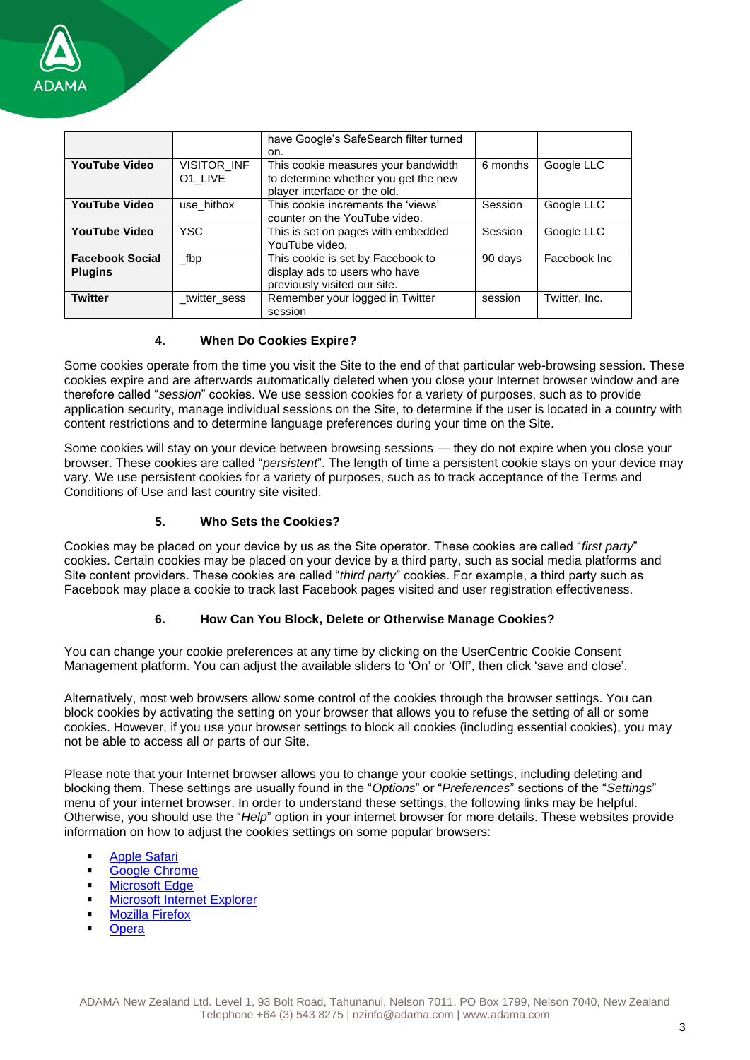

|                                          |                        | have Google's SafeSearch filter turned<br>on.                                                               |          |               |
|------------------------------------------|------------------------|-------------------------------------------------------------------------------------------------------------|----------|---------------|
| <b>YouTube Video</b>                     | VISITOR_INF<br>O1 LIVE | This cookie measures your bandwidth<br>to determine whether you get the new<br>player interface or the old. | 6 months | Google LLC    |
| <b>YouTube Video</b>                     | use_hitbox             | This cookie increments the 'views'<br>counter on the YouTube video.                                         | Session  | Google LLC    |
| <b>YouTube Video</b>                     | <b>YSC</b>             | This is set on pages with embedded<br>YouTube video.                                                        | Session  | Google LLC    |
| <b>Facebook Social</b><br><b>Plugins</b> | _fbp                   | This cookie is set by Facebook to<br>display ads to users who have<br>previously visited our site.          | 90 days  | Facebook Inc  |
| <b>Twitter</b>                           | twitter sess           | Remember your logged in Twitter<br>session                                                                  | session  | Twitter, Inc. |

## **4. When Do Cookies Expire?**

Some cookies operate from the time you visit the Site to the end of that particular web-browsing session. These cookies expire and are afterwards automatically deleted when you close your Internet browser window and are therefore called "*session*" cookies. We use session cookies for a variety of purposes, such as to provide application security, manage individual sessions on the Site, to determine if the user is located in a country with content restrictions and to determine language preferences during your time on the Site.

Some cookies will stay on your device between browsing sessions — they do not expire when you close your browser. These cookies are called "*persistent*". The length of time a persistent cookie stays on your device may vary. We use persistent cookies for a variety of purposes, such as to track acceptance of the Terms and Conditions of Use and last country site visited.

#### **5. Who Sets the Cookies?**

Cookies may be placed on your device by us as the Site operator. These cookies are called "*first party*" cookies. Certain cookies may be placed on your device by a third party, such as social media platforms and Site content providers. These cookies are called "*third party*" cookies. For example, a third party such as Facebook may place a cookie to track last Facebook pages visited and user registration effectiveness.

## **6. How Can You Block, Delete or Otherwise Manage Cookies?**

You can change your cookie preferences at any time by clicking on the UserCentric Cookie Consent Management platform. You can adjust the available sliders to 'On' or 'Off', then click 'save and close'.

Alternatively, most web browsers allow some control of the cookies through the browser settings. You can block cookies by activating the setting on your browser that allows you to refuse the setting of all or some cookies. However, if you use your browser settings to block all cookies (including essential cookies), you may not be able to access all or parts of our Site.

Please note that your Internet browser allows you to change your cookie settings, including deleting and blocking them. These settings are usually found in the "*Options*" or "*Preferences*" sections of the "*Settings*" menu of your internet browser. In order to understand these settings, the following links may be helpful. Otherwise, you should use the "*Help*" option in your internet browser for more details. These websites provide information on how to adjust the cookies settings on some popular browsers:

- **[Apple Safari](https://support.apple.com/guide/safari/manage-cookies-and-website-data-sfri11471/mac)**
- **[Google Chrome](https://support.google.com/chrome/answer/95647?hl=en)**
- **[Microsoft Edge](https://privacy.microsoft.com/en-us/windows-10-microsoft-edge-and-privacy)**
- **[Microsoft Internet Explorer](https://support.microsoft.com/en-us/help/17442/windows-internet-explorer-delete-manage-cookies#ie=ie-11)**
- **[Mozilla Firefox](https://support.mozilla.org/en-US/kb/cookies-information-websites-store-on-your-computer)**
- **Opera**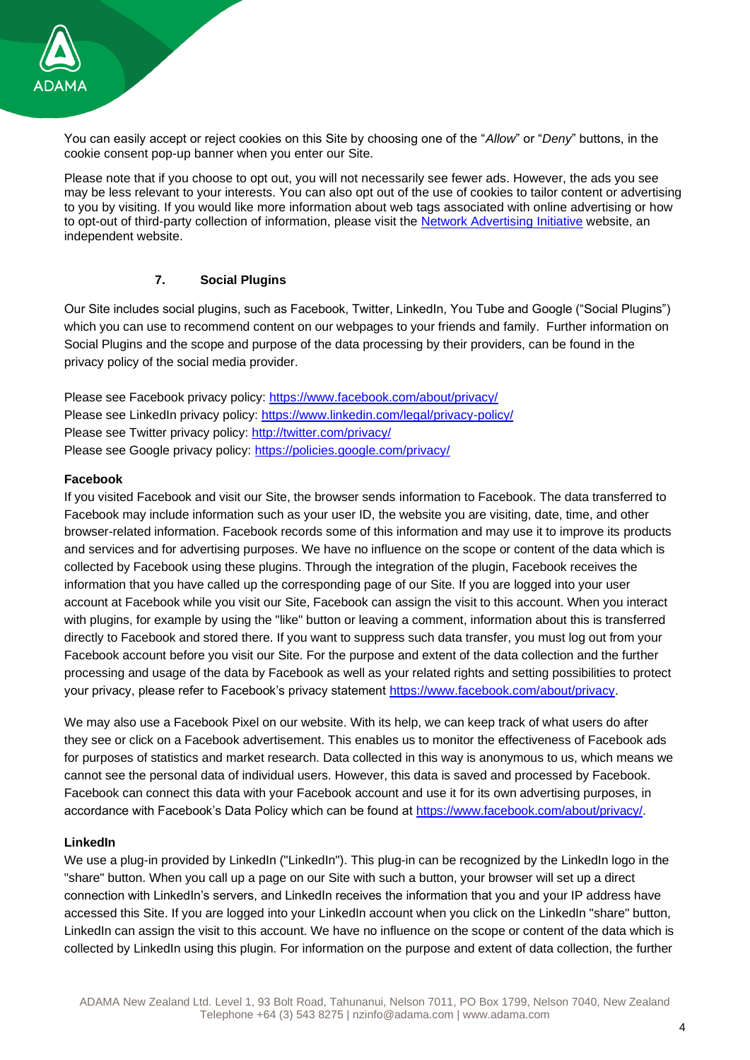

You can easily accept or reject cookies on this Site by choosing one of the "*Allow*" or "*Deny*" buttons, in the cookie consent pop-up banner when you enter our Site.

Please note that if you choose to opt out, you will not necessarily see fewer ads. However, the ads you see may be less relevant to your interests. You can also opt out of the use of cookies to tailor content or advertising to you by visiting. If you would like more information about web tags associated with online advertising or how to opt-out of third-party collection of information, please visit the [Network Advertising](http://www.networkadvertising.org/faq) Initiative website, an independent website.

## **7. Social Plugins**

Our Site includes social plugins, such as Facebook, Twitter, LinkedIn, You Tube and Google ("Social Plugins") which you can use to recommend content on our webpages to your friends and family. Further information on Social Plugins and the scope and purpose of the data processing by their providers, can be found in the privacy policy of the social media provider.

Please see Facebook privacy policy:<https://www.facebook.com/about/privacy/> Please see LinkedIn privacy policy: [https://www.linkedin.com/legal/privacy-policy/](https://www.linkedin.com/legal/privacy-policy) Please see Twitter privacy policy: [http://twitter.com/privacy/](http://twitter.com/privacy) Please see Google privacy policy: [https://policies.google.com/privacy/](https://policies.google.com/privacy)

#### **Facebook**

If you visited Facebook and visit our Site, the browser sends information to Facebook. The data transferred to Facebook may include information such as your user ID, the website you are visiting, date, time, and other browser-related information. Facebook records some of this information and may use it to improve its products and services and for advertising purposes. We have no influence on the scope or content of the data which is collected by Facebook using these plugins. Through the integration of the plugin, Facebook receives the information that you have called up the corresponding page of our Site. If you are logged into your user account at Facebook while you visit our Site, Facebook can assign the visit to this account. When you interact with plugins, for example by using the "like" button or leaving a comment, information about this is transferred directly to Facebook and stored there. If you want to suppress such data transfer, you must log out from your Facebook account before you visit our Site. For the purpose and extent of the data collection and the further processing and usage of the data by Facebook as well as your related rights and setting possibilities to protect your privacy, please refer to Facebook's privacy statement [https://www.facebook.com/about/privacy.](https://www.facebook.com/about/privacy)

We may also use a Facebook Pixel on our website. With its help, we can keep track of what users do after they see or click on a Facebook advertisement. This enables us to monitor the effectiveness of Facebook ads for purposes of statistics and market research. Data collected in this way is anonymous to us, which means we cannot see the personal data of individual users. However, this data is saved and processed by Facebook. Facebook can connect this data with your Facebook account and use it for its own advertising purposes, in accordance with Facebook's Data Policy which can be found at [https://www.facebook.com/about/privacy/.](https://www.facebook.com/about/privacy/)

## **LinkedIn**

We use a plug-in provided by LinkedIn ("LinkedIn"). This plug-in can be recognized by the LinkedIn logo in the "share" button. When you call up a page on our Site with such a button, your browser will set up a direct connection with LinkedIn's servers, and LinkedIn receives the information that you and your IP address have accessed this Site. If you are logged into your LinkedIn account when you click on the LinkedIn "share" button, LinkedIn can assign the visit to this account. We have no influence on the scope or content of the data which is collected by LinkedIn using this plugin. For information on the purpose and extent of data collection, the further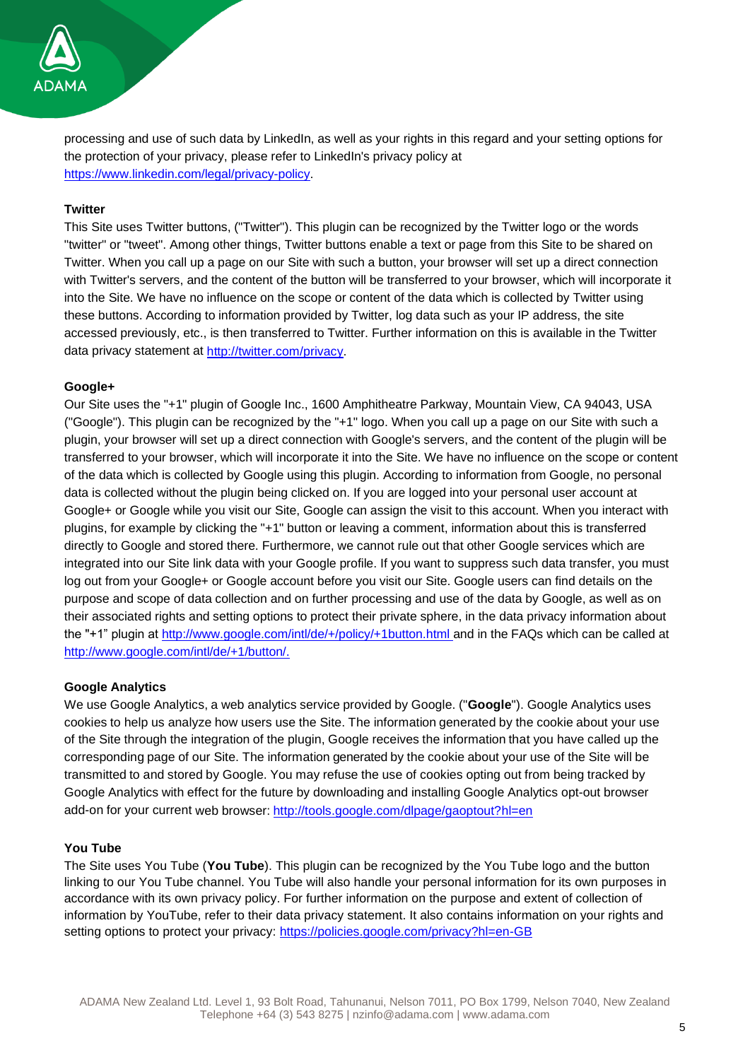

processing and use of such data by LinkedIn, as well as your rights in this regard and your setting options for the protection of your privacy, please refer to LinkedIn's privacy policy at [https://www.linkedin.com/legal/privacy-policy.](https://www.linkedin.com/legal/privacy-policy)

#### **Twitter**

This Site uses Twitter buttons, ("Twitter"). This plugin can be recognized by the Twitter logo or the words "twitter" or "tweet". Among other things, Twitter buttons enable a text or page from this Site to be shared on Twitter. When you call up a page on our Site with such a button, your browser will set up a direct connection with Twitter's servers, and the content of the button will be transferred to your browser, which will incorporate it into the Site. We have no influence on the scope or content of the data which is collected by Twitter using these buttons. According to information provided by Twitter, log data such as your IP address, the site accessed previously, etc., is then transferred to Twitter. Further information on this is available in the Twitter data privacy statement at [http://twitter.com/privacy.](http://twitter.com/privacy)

#### **Google+**

Our Site uses the "+1" plugin of Google Inc., 1600 Amphitheatre Parkway, Mountain View, CA 94043, USA ("Google"). This plugin can be recognized by the "+1" logo. When you call up a page on our Site with such a plugin, your browser will set up a direct connection with Google's servers, and the content of the plugin will be transferred to your browser, which will incorporate it into the Site. We have no influence on the scope or content of the data which is collected by Google using this plugin. According to information from Google, no personal data is collected without the plugin being clicked on. If you are logged into your personal user account at Google+ or Google while you visit our Site, Google can assign the visit to this account. When you interact with plugins, for example by clicking the "+1" button or leaving a comment, information about this is transferred directly to Google and stored there. Furthermore, we cannot rule out that other Google services which are integrated into our Site link data with your Google profile. If you want to suppress such data transfer, you must log out from your Google+ or Google account before you visit our Site. Google users can find details on the purpose and scope of data collection and on further processing and use of the data by Google, as well as on their associated rights and setting options to protect their private sphere, in the data privacy information about the "+1" plugin at [http://www.google.com/intl/de/+/policy/+1button.html a](http://www.google.com/intl/de/+/policy/+1button.html)nd in the FAQs which can be called at [http://www.google.com/intl/de/+1/button/.](http://www.google.com/intl/de/+1/button/)

#### **Google Analytics**

We use Google Analytics, a web analytics service provided by Google. ("**Google**"). Google Analytics uses cookies to help us analyze how users use the Site. The information generated by the cookie about your use of the Site through the integration of the plugin, Google receives the information that you have called up the corresponding page of our Site. The information generated by the cookie about your use of the Site will be transmitted to and stored by Google. You may refuse the use of cookies opting out from being tracked by Google Analytics with effect for the future by downloading and installing Google Analytics opt-out browser add-on for your current web browser: <http://tools.google.com/dlpage/gaoptout?hl=en>

#### **You Tube**

The Site uses You Tube (**You Tube**). This plugin can be recognized by the You Tube logo and the button linking to our You Tube channel. You Tube will also handle your personal information for its own purposes in accordance with its own privacy policy. For further information on the purpose and extent of collection of information by YouTube, refer to their data privacy statement. It also contains information on your rights and setting options to protect your privacy: [https://policies.google.com/privacy?hl=en-GB](https://eur03.safelinks.protection.outlook.com/?url=https%3A%2F%2Fpolicies.google.com%2Fprivacy%3Fhl%3Den-GB&data=04%7C01%7Cholly.trimby%40adama.com%7C6575f71687e0447877ae08d97ccf805e%7Cbd8f87a0d05d46c4a975e326112a909a%7C0%7C0%7C637678052919099554%7CUnknown%7CTWFpbGZsb3d8eyJWIjoiMC4wLjAwMDAiLCJQIjoiV2luMzIiLCJBTiI6Ik1haWwiLCJXVCI6Mn0%3D%7C1000&sdata=4TR4j0XcXaehlHvZEC0KFeS%2FZ09PkMgQ3tvYELAdRH0%3D&reserved=0)